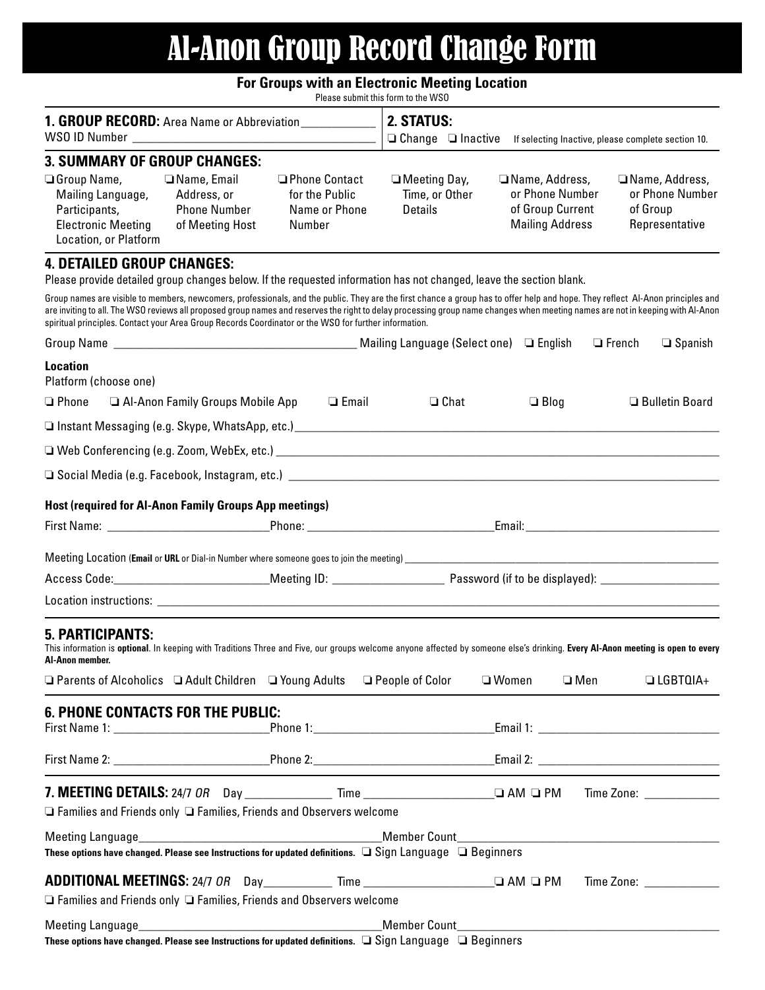# Al‑Anon Group Record Change Form

## **For Groups with an Electronic Meeting Location**

Please submit this form to the WSO

| 1. GROUP RECORD: Area Name or Abbreviation_____________<br>WSO ID Number                                       |                                                                                                                                                                                                                                                                                         |                                                              | 2. STATUS:<br>$\Box$ Change $\Box$ Inactive<br>If selecting Inactive, please complete section 10.                   |                                                                                                                                                                                                                                                                                                                                                                   |                                                                 |
|----------------------------------------------------------------------------------------------------------------|-----------------------------------------------------------------------------------------------------------------------------------------------------------------------------------------------------------------------------------------------------------------------------------------|--------------------------------------------------------------|---------------------------------------------------------------------------------------------------------------------|-------------------------------------------------------------------------------------------------------------------------------------------------------------------------------------------------------------------------------------------------------------------------------------------------------------------------------------------------------------------|-----------------------------------------------------------------|
| <b>3. SUMMARY OF GROUP CHANGES:</b>                                                                            |                                                                                                                                                                                                                                                                                         |                                                              |                                                                                                                     |                                                                                                                                                                                                                                                                                                                                                                   |                                                                 |
| $\Box$ Group Name,<br>Mailing Language,<br>Participants,<br><b>Electronic Meeting</b><br>Location, or Platform | □ Name, Email<br>Address, or<br><b>Phone Number</b><br>of Meeting Host                                                                                                                                                                                                                  | □ Phone Contact<br>for the Public<br>Name or Phone<br>Number | $\Box$ Meeting Day,<br>Time, or Other<br>Details                                                                    | □ Name, Address,<br>or Phone Number<br>of Group Current<br><b>Mailing Address</b>                                                                                                                                                                                                                                                                                 | Name, Address,<br>or Phone Number<br>of Group<br>Representative |
| <b>4. DETAILED GROUP CHANGES:</b>                                                                              |                                                                                                                                                                                                                                                                                         |                                                              | Please provide detailed group changes below. If the requested information has not changed, leave the section blank. |                                                                                                                                                                                                                                                                                                                                                                   |                                                                 |
|                                                                                                                | spiritual principles. Contact your Area Group Records Coordinator or the WSO for further information.                                                                                                                                                                                   |                                                              |                                                                                                                     | Group names are visible to members, newcomers, professionals, and the public. They are the first chance a group has to offer help and hope. They reflect AI-Anon principles and<br>are inviting to all. The WSO reviews all proposed group names and reserves the right to delay processing group name changes when meeting names are not in keeping with Al-Anon |                                                                 |
|                                                                                                                |                                                                                                                                                                                                                                                                                         |                                                              |                                                                                                                     |                                                                                                                                                                                                                                                                                                                                                                   | $\Box$ French<br>$\Box$ Spanish                                 |
| <b>Location</b><br>Platform (choose one)                                                                       |                                                                                                                                                                                                                                                                                         |                                                              |                                                                                                                     |                                                                                                                                                                                                                                                                                                                                                                   |                                                                 |
| $\Box$ Phone                                                                                                   | Al-Anon Family Groups Mobile App                                                                                                                                                                                                                                                        | $\Box$ Email                                                 | $\Box$ Chat                                                                                                         | $\Box$ Blog                                                                                                                                                                                                                                                                                                                                                       | □ Bulletin Board                                                |
|                                                                                                                |                                                                                                                                                                                                                                                                                         |                                                              |                                                                                                                     |                                                                                                                                                                                                                                                                                                                                                                   |                                                                 |
|                                                                                                                |                                                                                                                                                                                                                                                                                         |                                                              |                                                                                                                     |                                                                                                                                                                                                                                                                                                                                                                   |                                                                 |
|                                                                                                                |                                                                                                                                                                                                                                                                                         |                                                              |                                                                                                                     |                                                                                                                                                                                                                                                                                                                                                                   |                                                                 |
|                                                                                                                |                                                                                                                                                                                                                                                                                         |                                                              |                                                                                                                     |                                                                                                                                                                                                                                                                                                                                                                   |                                                                 |
|                                                                                                                | Host (required for Al-Anon Family Groups App meetings)<br>First Name: The Communication of the Communication of the Communication of the Communication of the Communication of the Communication of the Communication of the Communication of the Communication of the Communication of |                                                              |                                                                                                                     |                                                                                                                                                                                                                                                                                                                                                                   |                                                                 |
|                                                                                                                |                                                                                                                                                                                                                                                                                         |                                                              |                                                                                                                     |                                                                                                                                                                                                                                                                                                                                                                   |                                                                 |
|                                                                                                                | Meeting Location (Email or URL or Dial-in Number where someone goes to join the meeting) __________                                                                                                                                                                                     |                                                              |                                                                                                                     |                                                                                                                                                                                                                                                                                                                                                                   |                                                                 |
|                                                                                                                |                                                                                                                                                                                                                                                                                         |                                                              |                                                                                                                     |                                                                                                                                                                                                                                                                                                                                                                   |                                                                 |
|                                                                                                                |                                                                                                                                                                                                                                                                                         |                                                              |                                                                                                                     |                                                                                                                                                                                                                                                                                                                                                                   |                                                                 |
| <b>5. PARTICIPANTS:</b><br>Al-Anon member.                                                                     | $\Box$ Parents of Alcoholics $\Box$ Adult Children $\Box$ Young Adults $\Box$ People of Color                                                                                                                                                                                           |                                                              |                                                                                                                     | This information is optional. In keeping with Traditions Three and Five, our groups welcome anyone affected by someone else's drinking. Every AI-Anon meeting is open to every<br>□ Women<br>$\square$ Men                                                                                                                                                        | $\Box$ LGBTQIA+                                                 |
|                                                                                                                | <b>6. PHONE CONTACTS FOR THE PUBLIC:</b>                                                                                                                                                                                                                                                |                                                              |                                                                                                                     |                                                                                                                                                                                                                                                                                                                                                                   |                                                                 |
|                                                                                                                |                                                                                                                                                                                                                                                                                         |                                                              |                                                                                                                     |                                                                                                                                                                                                                                                                                                                                                                   |                                                                 |
|                                                                                                                |                                                                                                                                                                                                                                                                                         |                                                              |                                                                                                                     |                                                                                                                                                                                                                                                                                                                                                                   |                                                                 |
|                                                                                                                | $\Box$ Families and Friends only $\Box$ Families, Friends and Observers welcome                                                                                                                                                                                                         |                                                              |                                                                                                                     |                                                                                                                                                                                                                                                                                                                                                                   |                                                                 |
| Meeting Language                                                                                               |                                                                                                                                                                                                                                                                                         |                                                              |                                                                                                                     |                                                                                                                                                                                                                                                                                                                                                                   |                                                                 |
|                                                                                                                |                                                                                                                                                                                                                                                                                         |                                                              | These options have changed. Please see Instructions for updated definitions. $\Box$ Sign Language $\Box$ Beginners  |                                                                                                                                                                                                                                                                                                                                                                   |                                                                 |
|                                                                                                                |                                                                                                                                                                                                                                                                                         |                                                              |                                                                                                                     |                                                                                                                                                                                                                                                                                                                                                                   |                                                                 |
|                                                                                                                | $\Box$ Families and Friends only $\Box$ Families, Friends and Observers welcome                                                                                                                                                                                                         |                                                              |                                                                                                                     |                                                                                                                                                                                                                                                                                                                                                                   |                                                                 |
| Meeting Language_                                                                                              |                                                                                                                                                                                                                                                                                         |                                                              |                                                                                                                     |                                                                                                                                                                                                                                                                                                                                                                   |                                                                 |

These options have changed. Please see Instructions for updated definitions.  $\Box$  Sign Language  $\Box$  Beginners